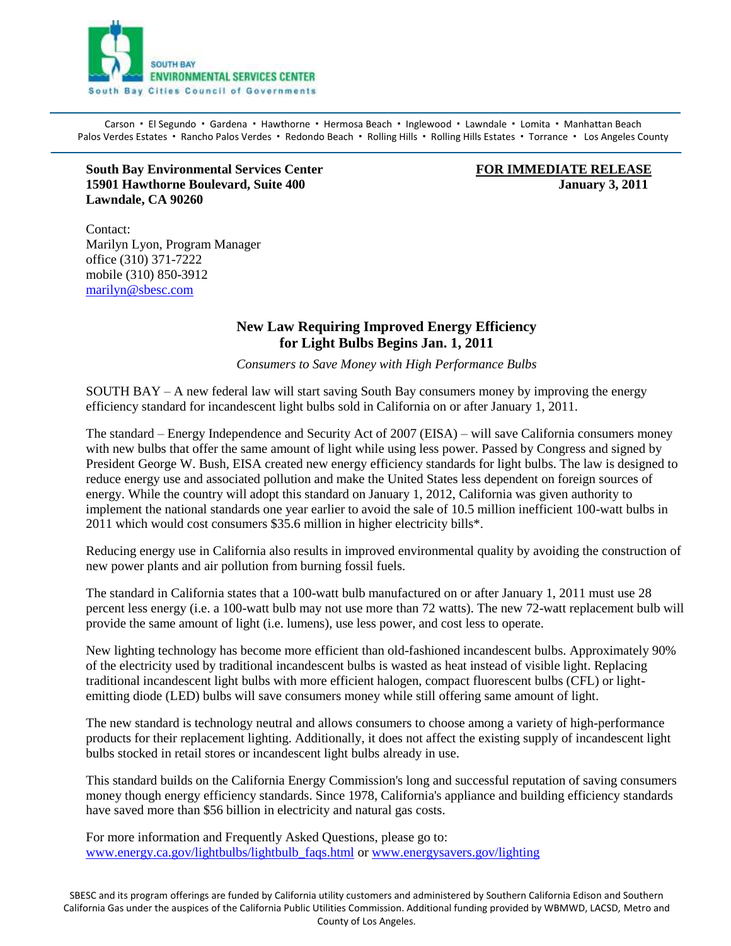

Carson · El Segundo · Gardena · Hawthorne · Hermosa Beach · Inglewood · Lawndale · Lomita · Manhattan Beach Palos Verdes Estates · Rancho Palos Verdes · Redondo Beach · Rolling Hills · Rolling Hills Estates · Torrance · Los Angeles County

**South Bay Environmental Services Center FOR IMMEDIATE RELEASE 15901 Hawthorne Boulevard, Suite 400 January 3, 2011 Lawndale, CA 90260** 

Contact: Marilyn Lyon, Program Manager office (310) 371-7222 mobile (310) 850-3912 [marilyn@sbesc.com](mailto:marilyn@sbesc.com)

## **New Law Requiring Improved Energy Efficiency for Light Bulbs Begins Jan. 1, 2011**

*Consumers to Save Money with High Performance Bulbs*

SOUTH BAY – A new federal law will start saving South Bay consumers money by improving the energy efficiency standard for incandescent light bulbs sold in California on or after January 1, 2011.

The standard – Energy Independence and Security Act of 2007 (EISA) – will save California consumers money with new bulbs that offer the same amount of light while using less power. Passed by Congress and signed by President George W. Bush, EISA created new energy efficiency standards for light bulbs. The law is designed to reduce energy use and associated pollution and make the United States less dependent on foreign sources of energy. While the country will adopt this standard on January 1, 2012, California was given authority to implement the national standards one year earlier to avoid the sale of 10.5 million inefficient 100-watt bulbs in 2011 which would cost consumers \$35.6 million in higher electricity bills\*.

Reducing energy use in California also results in improved environmental quality by avoiding the construction of new power plants and air pollution from burning fossil fuels.

The standard in California states that a 100-watt bulb manufactured on or after January 1, 2011 must use 28 percent less energy (i.e. a 100-watt bulb may not use more than 72 watts). The new 72-watt replacement bulb will provide the same amount of light (i.e. lumens), use less power, and cost less to operate.

New lighting technology has become more efficient than old-fashioned incandescent bulbs. Approximately 90% of the electricity used by traditional incandescent bulbs is wasted as heat instead of visible light. Replacing traditional incandescent light bulbs with more efficient halogen, compact fluorescent bulbs (CFL) or lightemitting diode (LED) bulbs will save consumers money while still offering same amount of light.

The new standard is technology neutral and allows consumers to choose among a variety of high-performance products for their replacement lighting. Additionally, it does not affect the existing supply of incandescent light bulbs stocked in retail stores or incandescent light bulbs already in use.

This standard builds on the California Energy Commission's long and successful reputation of saving consumers money though energy efficiency standards. Since 1978, California's appliance and building efficiency standards have saved more than \$56 billion in electricity and natural gas costs.

For more information and Frequently Asked Questions, please go to: [www.energy.ca.gov/lightbulbs/lightbulb\\_faqs.html](http://www.energy.ca.gov/lightbulbs/lightbulb_faqs.html) or [www.energysavers.gov/lighting](http://www.energysavers.gov/your_home/lighting_daylighting/index.cfm/mytopic=11975)

SBESC and its program offerings are funded by California utility customers and administered by Southern California Edison and Southern California Gas under the auspices of the California Public Utilities Commission. Additional funding provided by WBMWD, LACSD, Metro and County of Los Angeles.